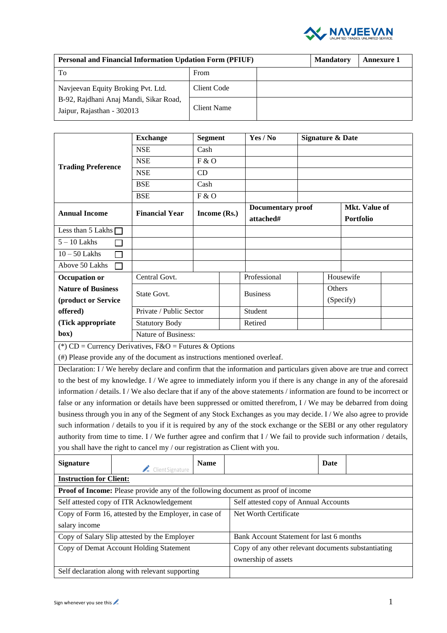

| <b>Personal and Financial Information Updation Form (PFIUF)</b>      | <b>Mandatory</b> | <b>Annexure 1</b> |  |  |
|----------------------------------------------------------------------|------------------|-------------------|--|--|
| To                                                                   | From             |                   |  |  |
| Navjeevan Equity Broking Pvt. Ltd.                                   | Client Code      |                   |  |  |
| B-92, Rajdhani Anaj Mandi, Sikar Road,<br>Jaipur, Rajasthan - 302013 | Client Name      |                   |  |  |

|                                                                                                                       | <b>Exchange</b>                                                                                                           | <b>Segment</b>                        |                       | Yes / No                       |      | <b>Signature &amp; Date</b> |                                   |  |
|-----------------------------------------------------------------------------------------------------------------------|---------------------------------------------------------------------------------------------------------------------------|---------------------------------------|-----------------------|--------------------------------|------|-----------------------------|-----------------------------------|--|
|                                                                                                                       | <b>NSE</b>                                                                                                                | Cash                                  |                       |                                |      |                             |                                   |  |
| <b>Trading Preference</b>                                                                                             | <b>NSE</b>                                                                                                                | F & O                                 |                       |                                |      |                             |                                   |  |
|                                                                                                                       | <b>NSE</b>                                                                                                                | CD                                    |                       |                                |      |                             |                                   |  |
|                                                                                                                       | <b>BSE</b>                                                                                                                | Cash                                  |                       |                                |      |                             |                                   |  |
|                                                                                                                       | <b>BSE</b>                                                                                                                | F & O                                 |                       |                                |      |                             |                                   |  |
| <b>Annual Income</b>                                                                                                  | <b>Financial Year</b>                                                                                                     | Income (Rs.)                          |                       | Documentary proof<br>attached# |      |                             | Mkt. Value of<br><b>Portfolio</b> |  |
| Less than 5 Lakhs $\Box$                                                                                              |                                                                                                                           |                                       |                       |                                |      |                             |                                   |  |
| $5 - 10$ Lakhs                                                                                                        |                                                                                                                           |                                       |                       |                                |      |                             |                                   |  |
| $10 - 50$ Lakhs                                                                                                       |                                                                                                                           |                                       |                       |                                |      |                             |                                   |  |
| Above 50 Lakhs<br>П                                                                                                   |                                                                                                                           |                                       |                       |                                |      |                             |                                   |  |
| Occupation or                                                                                                         | Central Govt.                                                                                                             |                                       |                       | Professional                   |      | Housewife                   |                                   |  |
| <b>Nature of Business</b>                                                                                             | State Govt.                                                                                                               |                                       |                       | <b>Business</b>                |      | Others                      |                                   |  |
| (product or Service                                                                                                   |                                                                                                                           |                                       |                       |                                |      | (Specify)                   |                                   |  |
| offered)                                                                                                              | Private / Public Sector                                                                                                   |                                       |                       | Student                        |      |                             |                                   |  |
| (Tick appropriate                                                                                                     | <b>Statutory Body</b>                                                                                                     |                                       |                       | Retired                        |      |                             |                                   |  |
| box)                                                                                                                  |                                                                                                                           | Nature of Business:                   |                       |                                |      |                             |                                   |  |
| (*) CD = Currency Derivatives, $F&O =$ Futures & Options                                                              |                                                                                                                           |                                       |                       |                                |      |                             |                                   |  |
| (#) Please provide any of the document as instructions mentioned overleaf.                                            |                                                                                                                           |                                       |                       |                                |      |                             |                                   |  |
|                                                                                                                       | Declaration: I / We hereby declare and confirm that the information and particulars given above are true and correct      |                                       |                       |                                |      |                             |                                   |  |
| to the best of my knowledge. I / We agree to immediately inform you if there is any change in any of the aforesaid    |                                                                                                                           |                                       |                       |                                |      |                             |                                   |  |
|                                                                                                                       | information / details. I / We also declare that if any of the above statements / information are found to be incorrect or |                                       |                       |                                |      |                             |                                   |  |
| false or any information or details have been suppressed or omitted therefrom, I / We may be debarred from doing      |                                                                                                                           |                                       |                       |                                |      |                             |                                   |  |
| business through you in any of the Segment of any Stock Exchanges as you may decide. I / We also agree to provide     |                                                                                                                           |                                       |                       |                                |      |                             |                                   |  |
| such information / details to you if it is required by any of the stock exchange or the SEBI or any other regulatory  |                                                                                                                           |                                       |                       |                                |      |                             |                                   |  |
| authority from time to time. I / We further agree and confirm that I / We fail to provide such information / details, |                                                                                                                           |                                       |                       |                                |      |                             |                                   |  |
| you shall have the right to cancel my / our registration as Client with you.                                          |                                                                                                                           |                                       |                       |                                |      |                             |                                   |  |
| <b>Signature</b>                                                                                                      | Client Signature                                                                                                          | <b>Name</b>                           |                       |                                | Date |                             |                                   |  |
| <b>Instruction for Client:</b>                                                                                        |                                                                                                                           |                                       |                       |                                |      |                             |                                   |  |
| Proof of Income: Please provide any of the following document as proof of income                                      |                                                                                                                           |                                       |                       |                                |      |                             |                                   |  |
| Self attested copy of ITR Acknowledgement                                                                             |                                                                                                                           | Self attested copy of Annual Accounts |                       |                                |      |                             |                                   |  |
|                                                                                                                       | Copy of Form 16, attested by the Employer, in case of                                                                     |                                       | Net Worth Certificate |                                |      |                             |                                   |  |